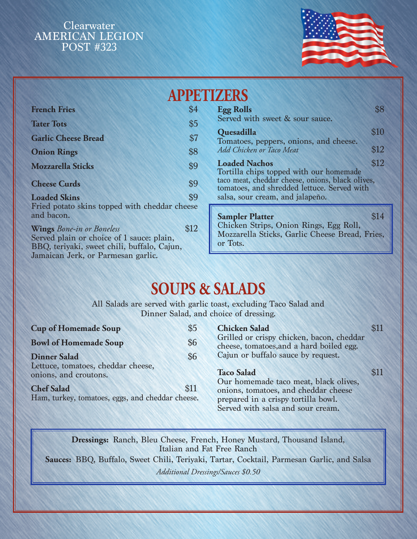

| <b>APPETIZERS</b>                                                                                                                                                  |                                                                                                        |                                                                                                      |      |  |
|--------------------------------------------------------------------------------------------------------------------------------------------------------------------|--------------------------------------------------------------------------------------------------------|------------------------------------------------------------------------------------------------------|------|--|
| <b>French Fries</b>                                                                                                                                                | \$4                                                                                                    | <b>Egg Rolls</b>                                                                                     | \$8  |  |
| <b>Tater Tots</b>                                                                                                                                                  | \$5                                                                                                    | Served with sweet & sour sauce.                                                                      |      |  |
| <b>Garlic Cheese Bread</b>                                                                                                                                         | \$7                                                                                                    | Quesadilla<br>Tomatoes, peppers, onions, and cheese.                                                 | \$10 |  |
| <b>Onion Rings</b>                                                                                                                                                 | \$8                                                                                                    | Add Chicken or Taco Meat                                                                             | \$12 |  |
| <b>Mozzarella Sticks</b>                                                                                                                                           | \$9                                                                                                    | \$12<br><b>Loaded Nachos</b><br>Tortilla chips topped with our homemade                              |      |  |
| <b>Cheese Curds</b>                                                                                                                                                | taco meat, cheddar cheese, onions, black olives,<br>\$9<br>tomatoes, and shredded lettuce. Served with |                                                                                                      |      |  |
| <b>Loaded Skins</b>                                                                                                                                                | \$9                                                                                                    | salsa, sour cream, and jalapeño.                                                                     |      |  |
| Fried potato skins topped with cheddar cheese<br>and bacon.                                                                                                        |                                                                                                        | <b>Sampler Platter</b>                                                                               | \$14 |  |
| <b>Wings</b> Bone-in or Boneless<br>Served plain or choice of 1 sauce: plain,<br>BBQ, teriyaki, sweet chili, buffalo, Cajun,<br>Jamaican Jerk, or Parmesan garlic. | \$12                                                                                                   | Chicken Strips, Onion Rings, Egg Roll,<br>Mozzarella Sticks, Garlic Cheese Bread, Fries,<br>or Tots. |      |  |
|                                                                                                                                                                    |                                                                                                        |                                                                                                      |      |  |

# **SOUPS & SALADS**

All Salads are served with garlic toast, excluding Taco Salad and Dinner Salad, and choice of dressing.

| <b>Cup of Homemade Soup</b>                                           | $\frac{1}{5}$ | <b>Chicken Salad</b>                                                                                             |            |
|-----------------------------------------------------------------------|---------------|------------------------------------------------------------------------------------------------------------------|------------|
| <b>Bowl of Homemade Soup</b>                                          | \$6           | Grilled or crispy chicken, bacon, cheddar<br>cheese, tomatoes, and a hard boiled egg.                            |            |
| <b>Dinner Salad</b>                                                   | \$6           | Cajun or buffalo sauce by request.                                                                               |            |
| Lettuce, tomatoes, cheddar cheese,<br>onions, and croutons.           |               | <b>Taco Salad</b><br>Our homemade taco meat, black olives,                                                       | <b>SII</b> |
| <b>Chef Salad</b><br>Ham, turkey, tomatoes, eggs, and cheddar cheese. | \$11          | onions, tomatoes, and cheddar cheese<br>prepared in a crispy tortilla bowl.<br>Served with salsa and sour cream. |            |

**Dressings:** Ranch, Bleu Cheese, French, Honey Mustard, Thousand Island, Italian and Fat Free Ranch

**Sauces:** BBQ, Buffalo, Sweet Chili, Teriyaki, Tartar, Cocktail, Parmesan Garlic, and Salsa *Additional Dressings/Sauces \$0.50*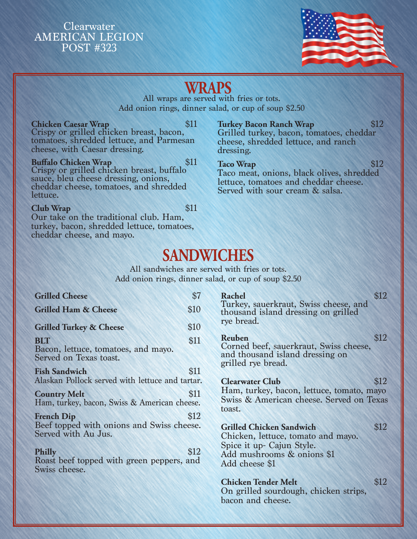

# **WRAPS**

All wraps are served with fries or tots. Add onion rings, dinner salad, or cup of soup \$2.50

## **Chicken Caesar Wrap** \$11

Crispy or grilled chicken breast, bacon, tomatoes, shredded lettuce, and Parmesan cheese, with Caesar dressing.

**Buffalo Chicken Wrap 311** Crispy or grilled chicken breast, buffalo sauce, bleu cheese dressing, onions, cheddar cheese, tomatoes, and shredded lettuce.

#### **Club Wrap** \$11

Our take on the traditional club. Ham, turkey, bacon, shredded lettuce, tomatoes, cheddar cheese, and mayo.

### **Turkey Bacon Ranch Wrap** \$12

Grilled turkey, bacon, tomatoes, cheddar cheese, shredded lettuce, and ranch dressing.

**Taco Wrap** \$12 Taco meat, onions, black olives, shredded lettuce, tomatoes and cheddar cheese. Served with sour cream & salsa.

# **SANDWICHES**

All sandwiches are served with fries or tots. Add onion rings, dinner salad, or cup of soup \$2.50

| <b>Grilled Cheese</b>                                                                 | \$7  |
|---------------------------------------------------------------------------------------|------|
| <b>Grilled Ham &amp; Cheese</b>                                                       | \$10 |
| <b>Grilled Turkey &amp; Cheese</b>                                                    | \$10 |
| <b>BLT</b><br>Bacon, lettuce, tomatoes, and mayo.<br>Served on Texas toast.           | \$11 |
| <b>Fish Sandwich</b><br>Alaskan Pollock served with lettuce and tartar.               | \$11 |
| <b>Country Melt</b><br>Ham, turkey, bacon, Swiss & American cheese.                   | \$11 |
| <b>French Dip</b><br>Beef topped with onions and Swiss cheese.<br>Served with Au Jus. | \$12 |
| <b>Philly</b><br>Roast beef topped with green peppers, and<br>Swiss cheese.           | \$12 |

**Rachel \$12** Turkey, sauerkraut, Swiss cheese, and thousand island dressing on grilled rye bread.

**Reuben** \$12 Corned beef, sauerkraut, Swiss cheese, and thousand island dressing on grilled rye bread.

#### **Clearwater Club** \$12

Ham, turkey, bacon, lettuce, tomato, mayo Swiss & American cheese. Served on Texas toast.

### **Grilled Chicken Sandwich \$12**

Chicken, lettuce, tomato and mayo. Spice it up- Cajun Style. Add mushrooms & onions \$1 Add cheese \$1

### **Chicken Tender Melt** \$12

On grilled sourdough, chicken strips, bacon and cheese.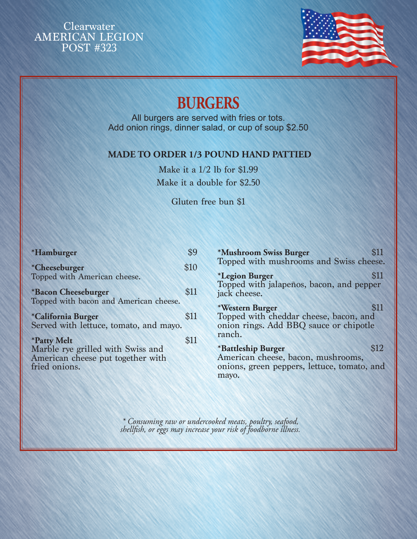

# **BURGERS**

All burgers are served with fries or tots. Add onion rings, dinner salad, or cup of soup \$2.50

### **MADE TO ORDER 1/3 POUND HAND PATTIED**

Make it a 1/2 lb for \$1.99 Make it a double for \$2.50

Gluten free bun \$1

| *Hamburger                                                                                                           | ¢0   |
|----------------------------------------------------------------------------------------------------------------------|------|
| *Cheeseburger<br>Topped with American cheese.                                                                        | \$10 |
| *Bacon Cheeseburger<br>Topped with bacon and American cheese.                                                        | \$11 |
| *California Burger<br>Served with lettuce, tomato, and mayo.                                                         | \$11 |
| <i><b>*Patty Melt</b></i><br>Marble rye grilled with Swiss and<br>American cheese put together with<br>fried onions. | \$11 |

| *Mushroom Swiss Burger<br>Topped with mushrooms and Swiss cheese.                                                |      |
|------------------------------------------------------------------------------------------------------------------|------|
| <i><b>*Legion Burger</b></i><br>Topped with jalapeños, bacon, and pepper<br>jack cheese.                         | \$11 |
| *Western Burger<br>Topped with cheddar cheese, bacon, and<br>onion rings. Add BBQ sauce or chipotle<br>ranch.    |      |
| *Battleship Burger<br>American cheese, bacon, mushrooms,<br>onions, green peppers, lettuce, tomato, and<br>mayo. | \$12 |

*\* Consuming raw or undercooked meats, poultry, seafood, shellfish, or eggs may increase your risk of foodborne illness.*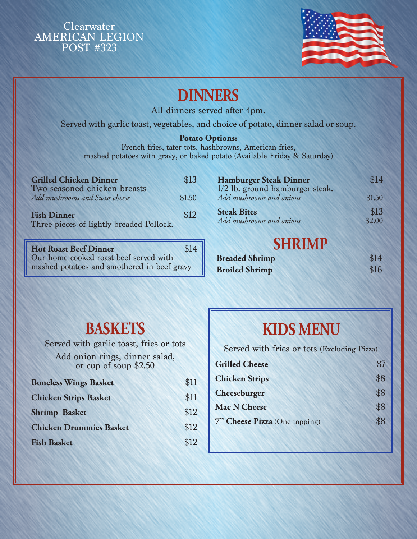

# **DINNERS**

All dinners served after 4pm.

Served with garlic toast, vegetables, and choice of potato, dinner salad or soup.

### **Potato Options:**

French fries, tater tots, hashbrowns, American fries, mashed potatoes with gravy, or baked potato (Available Friday & Saturday)

| <b>Grilled Chicken Dinner</b><br>Two seasoned chicken breasts  | \$13   |
|----------------------------------------------------------------|--------|
| Add mushrooms and Swiss cheese                                 | \$1.50 |
| <b>Fish Dinner</b><br>Three pieces of lightly breaded Pollock. | \$12   |

**Hot Roast Beef Dinner** \$14 Our home cooked roast beef served with mashed potatoes and smothered in beef gravy

| <b>Hamburger Steak Dinner</b>   | \$14   |
|---------------------------------|--------|
| 1/2 lb. ground hamburger steak. |        |
| Add mushrooms and onions        | \$1.50 |
| <b>Steak Bites</b>              | \$13   |
| Add mushrooms and onions        | \$2.00 |

# **SHRIMP**

| <b>Breaded Shrimp</b> | \$14 |
|-----------------------|------|
| <b>Broiled Shrimp</b> | \$16 |

# **BASKETS**

Served with garlic toast, fries or tots Add onion rings, dinner salad, or cup of soup \$2.50

| <b>Boneless Wings Basket</b>   | \$11 |
|--------------------------------|------|
| <b>Chicken Strips Basket</b>   | \$11 |
| <b>Shrimp Basket</b>           | \$12 |
| <b>Chicken Drummies Basket</b> | \$12 |
| <b>Fish Basket</b>             | \$12 |
|                                |      |

# **KIDS MENU**

Served with fries or tots (Excluding Pizza)

| <b>Grilled Cheese</b>         | \$7 |
|-------------------------------|-----|
| <b>Chicken Strips</b>         | \$8 |
| Cheeseburger                  | \$8 |
| <b>Mac N Cheese</b>           | \$8 |
| 7" Cheese Pizza (One topping) | \$8 |
|                               |     |